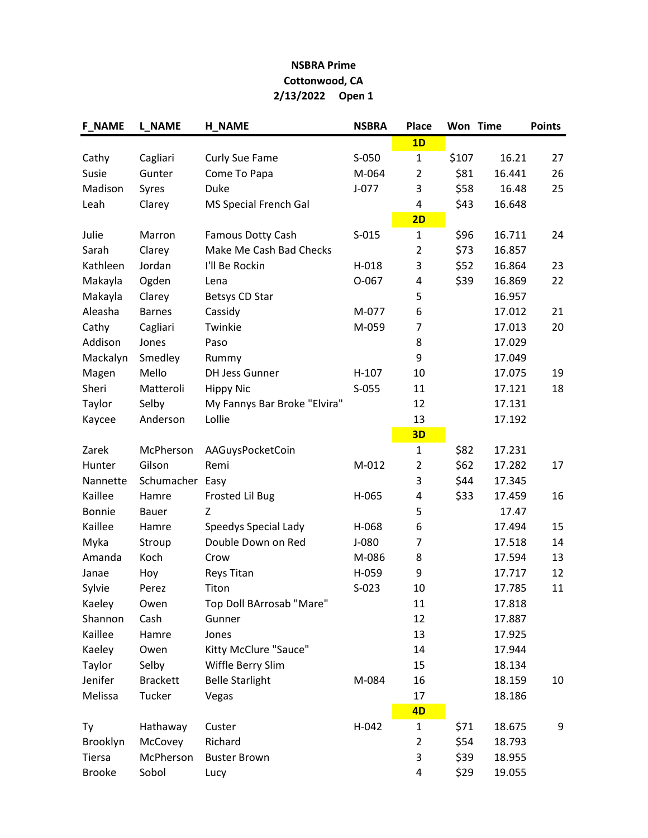## NSBRA Prime Cottonwood, CA 2/13/2022 Open 1

| <b>F_NAME</b> | <b>L_NAME</b>   | <b>H_NAME</b>                | <b>NSBRA</b> | Place          |       | Won Time | <b>Points</b> |
|---------------|-----------------|------------------------------|--------------|----------------|-------|----------|---------------|
|               |                 |                              |              | 1D             |       |          |               |
| Cathy         | Cagliari        | Curly Sue Fame               | S-050        | $\mathbf{1}$   | \$107 | 16.21    | 27            |
| Susie         | Gunter          | Come To Papa                 | M-064        | $\overline{2}$ | \$81  | 16.441   | 26            |
| Madison       | Syres           | Duke                         | $J - 077$    | 3              | \$58  | 16.48    | 25            |
| Leah          | Clarey          | MS Special French Gal        |              | 4              | \$43  | 16.648   |               |
|               |                 |                              |              | 2D             |       |          |               |
| Julie         | Marron          | <b>Famous Dotty Cash</b>     | $S-015$      | $\mathbf{1}$   | \$96  | 16.711   | 24            |
| Sarah         | Clarey          | Make Me Cash Bad Checks      |              | $\overline{2}$ | \$73  | 16.857   |               |
| Kathleen      | Jordan          | I'll Be Rockin               | H-018        | 3              | \$52  | 16.864   | 23            |
| Makayla       | Ogden           | Lena                         | $O-067$      | 4              | \$39  | 16.869   | 22            |
| Makayla       | Clarey          | Betsys CD Star               |              | 5              |       | 16.957   |               |
| Aleasha       | <b>Barnes</b>   | Cassidy                      | M-077        | 6              |       | 17.012   | 21            |
| Cathy         | Cagliari        | Twinkie                      | M-059        | 7              |       | 17.013   | 20            |
| Addison       | Jones           | Paso                         |              | 8              |       | 17.029   |               |
| Mackalyn      | Smedley         | Rummy                        |              | 9              |       | 17.049   |               |
| Magen         | Mello           | <b>DH Jess Gunner</b>        | $H-107$      | 10             |       | 17.075   | 19            |
| Sheri         | Matteroli       | <b>Hippy Nic</b>             | $S-055$      | 11             |       | 17.121   | 18            |
| Taylor        | Selby           | My Fannys Bar Broke "Elvira" |              | 12             |       | 17.131   |               |
| Kaycee        | Anderson        | Lollie                       |              | 13             |       | 17.192   |               |
|               |                 |                              |              | 3D             |       |          |               |
| Zarek         | McPherson       | AAGuysPocketCoin             |              | 1              | \$82  | 17.231   |               |
| Hunter        | Gilson          | Remi                         | M-012        | $\overline{2}$ | \$62  | 17.282   | 17            |
| Nannette      | Schumacher Easy |                              |              | 3              | \$44  | 17.345   |               |
| Kaillee       | Hamre           | Frosted Lil Bug              | H-065        | 4              | \$33  | 17.459   | 16            |
| <b>Bonnie</b> | Bauer           | Z                            |              | 5              |       | 17.47    |               |
| Kaillee       | Hamre           | Speedys Special Lady         | H-068        | 6              |       | 17.494   | 15            |
| Myka          | Stroup          | Double Down on Red           | $J-080$      | 7              |       | 17.518   | 14            |
| Amanda        | Koch            | Crow                         | M-086        | 8              |       | 17.594   | 13            |
| Janae         | Hoy             | <b>Reys Titan</b>            | H-059        | 9              |       | 17.717   | 12            |
| Sylvie        | Perez           | Titon                        | $S-023$      | 10             |       | 17.785   | 11            |
| Kaeley        | Owen            | Top Doll BArrosab "Mare"     |              | 11             |       | 17.818   |               |
| Shannon       | Cash            | Gunner                       |              | 12             |       | 17.887   |               |
| Kaillee       | Hamre           | Jones                        |              | 13             |       | 17.925   |               |
| Kaeley        | Owen            | Kitty McClure "Sauce"        |              | 14             |       | 17.944   |               |
| Taylor        | Selby           | Wiffle Berry Slim            |              | 15             |       | 18.134   |               |
| Jenifer       | <b>Brackett</b> | <b>Belle Starlight</b>       | M-084        | 16             |       | 18.159   | 10            |
| Melissa       | Tucker          | Vegas                        |              | 17             |       | 18.186   |               |
|               |                 |                              |              | 4D             |       |          |               |
| Ty            | Hathaway        | Custer                       | H-042        | $\mathbf{1}$   | \$71  | 18.675   | 9             |
| Brooklyn      | McCovey         | Richard                      |              | $\overline{2}$ | \$54  | 18.793   |               |
| Tiersa        | McPherson       | <b>Buster Brown</b>          |              | 3              | \$39  | 18.955   |               |
| <b>Brooke</b> | Sobol           | Lucy                         |              | 4              | \$29  | 19.055   |               |